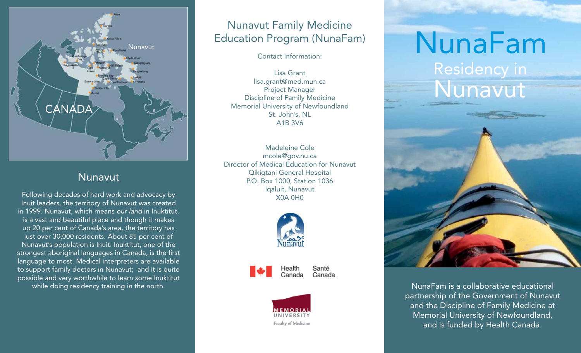

#### Nunavut

Following decades of hard work and advocacy by Inuit leaders, the territory of Nunavut was created in 1999. Nunavut, which means *our land* in Inuktitut, is a vast and beautiful place and though it makes up 20 per cent of Canada's area, the territory has just over 30,000 residents. About 85 per cent of Nunavut's population is Inuit. Inuktitut, one of the strongest aboriginal languages in Canada, is the first language to most. Medical interpreters are available to support family doctors in Nunavut; and it is quite possible and very worthwhile to learn some Inuktitut while doing residency training in the north.

### Nunavut Family Medicine Education Program (NunaFam)

Contact Information:

Lisa Grant lisa.grant@med.mun.ca Project Manager Discipline of Family Medicine Memorial University of Newfoundland St. John's, NL A1B 3V6

Madeleine Cole mcole@gov.nu.ca Director of Medical Education for Nunavut Qikiqtani General Hospital P.O. Box 1000, Station 1036 Iqaluit, Nunavut X0A 0H0



Health Canada

Santé Canada



## Residency in NunaFam



NunaFam is a collaborative educational partnership of the Government of Nunavut and the Discipline of Family Medicine at Memorial University of Newfoundland, and is funded by Health Canada.